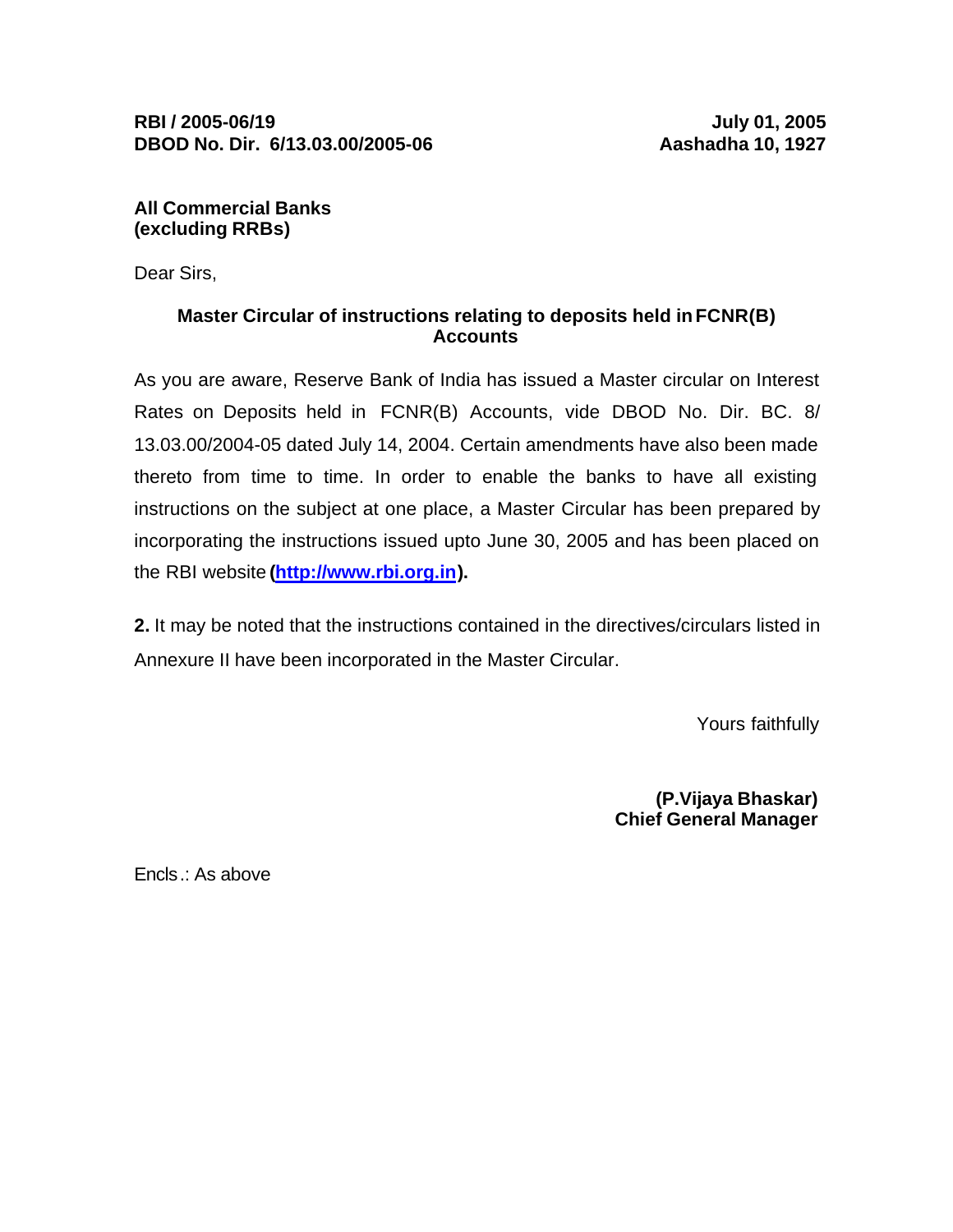**All Commercial Banks (excluding RRBs)**

Dear Sirs,

# **Master Circular of instructions relating to deposits held in FCNR(B) Accounts**

As you are aware, Reserve Bank of India has issued a Master circular on Interest Rates on Deposits held in FCNR(B) Accounts, vide DBOD No. Dir. BC. 8/ 13.03.00/2004-05 dated July 14, 2004. Certain amendments have also been made thereto from time to time. In order to enable the banks to have all existing instructions on the subject at one place, a Master Circular has been prepared by incorporating the instructions issued upto June 30, 2005 and has been placed on the RBI website **(http://www.rbi.org.in).**

**2.** It may be noted that the instructions contained in the directives/circulars listed in Annexure II have been incorporated in the Master Circular.

Yours faithfully

**(P.Vijaya Bhaskar) Chief General Manager**

Encls.: As above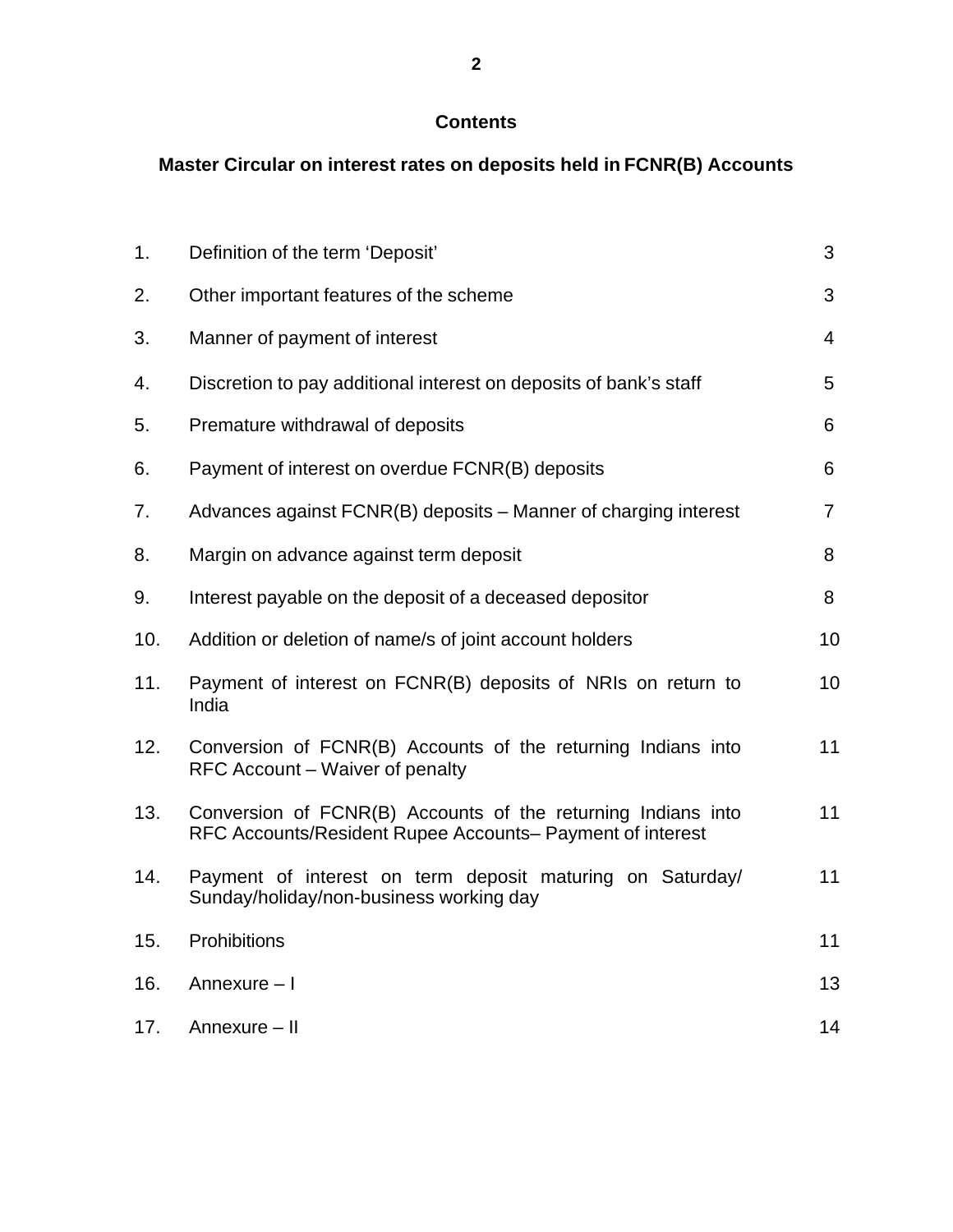# **Contents**

# **Master Circular on interest rates on deposits held in FCNR(B) Accounts**

| 1.  | Definition of the term 'Deposit'                                                                                          | 3              |
|-----|---------------------------------------------------------------------------------------------------------------------------|----------------|
| 2.  | Other important features of the scheme                                                                                    | 3              |
| 3.  | Manner of payment of interest                                                                                             | $\overline{4}$ |
| 4.  | Discretion to pay additional interest on deposits of bank's staff                                                         | 5              |
| 5.  | Premature withdrawal of deposits                                                                                          |                |
| 6.  | Payment of interest on overdue FCNR(B) deposits                                                                           | 6              |
| 7.  | Advances against FCNR(B) deposits – Manner of charging interest                                                           | $\overline{7}$ |
| 8.  | Margin on advance against term deposit                                                                                    | 8              |
| 9.  | Interest payable on the deposit of a deceased depositor                                                                   | 8              |
| 10. | Addition or deletion of name/s of joint account holders                                                                   | 10             |
| 11. | Payment of interest on FCNR(B) deposits of NRIs on return to<br>India                                                     | 10             |
| 12. | Conversion of FCNR(B) Accounts of the returning Indians into<br>RFC Account – Waiver of penalty                           | 11             |
| 13. | Conversion of FCNR(B) Accounts of the returning Indians into<br>RFC Accounts/Resident Rupee Accounts– Payment of interest | 11             |
| 14. | Payment of interest on term deposit maturing on Saturday/<br>Sunday/holiday/non-business working day                      | 11             |
| 15. | Prohibitions                                                                                                              | 11             |
| 16. | Annexure - I                                                                                                              | 13             |
| 17. | Annexure - II                                                                                                             | 14             |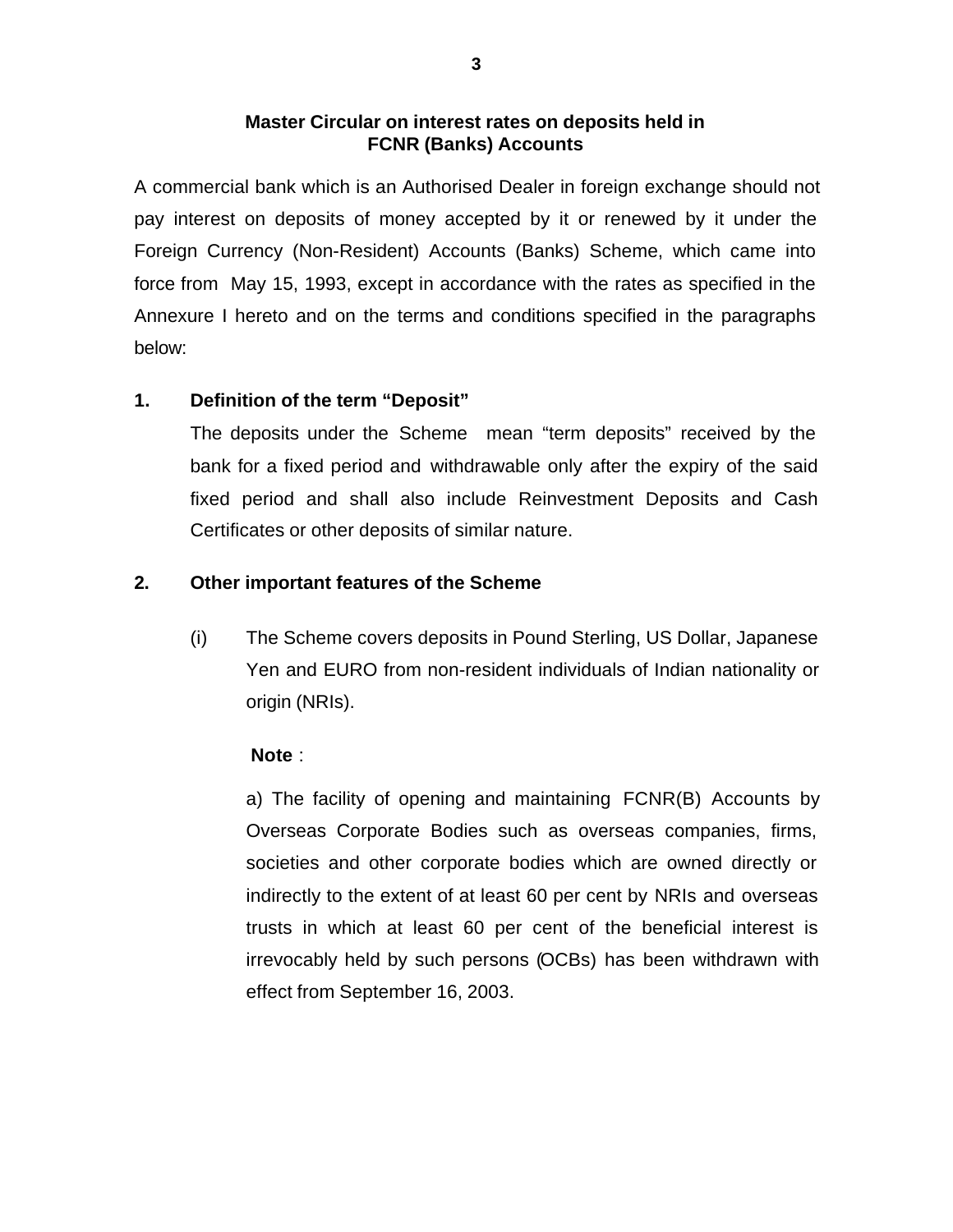# **Master Circular on interest rates on deposits held in FCNR (Banks) Accounts**

A commercial bank which is an Authorised Dealer in foreign exchange should not pay interest on deposits of money accepted by it or renewed by it under the Foreign Currency (Non-Resident) Accounts (Banks) Scheme, which came into force from May 15, 1993, except in accordance with the rates as specified in the Annexure I hereto and on the terms and conditions specified in the paragraphs below:

# **1. Definition of the term "Deposit"**

The deposits under the Scheme mean "term deposits" received by the bank for a fixed period and withdrawable only after the expiry of the said fixed period and shall also include Reinvestment Deposits and Cash Certificates or other deposits of similar nature.

# **2. Other important features of the Scheme**

(i) The Scheme covers deposits in Pound Sterling, US Dollar, Japanese Yen and EURO from non-resident individuals of Indian nationality or origin (NRIs).

### **Note** :

a) The facility of opening and maintaining FCNR(B) Accounts by Overseas Corporate Bodies such as overseas companies, firms, societies and other corporate bodies which are owned directly or indirectly to the extent of at least 60 per cent by NRIs and overseas trusts in which at least 60 per cent of the beneficial interest is irrevocably held by such persons (OCBs) has been withdrawn with effect from September 16, 2003.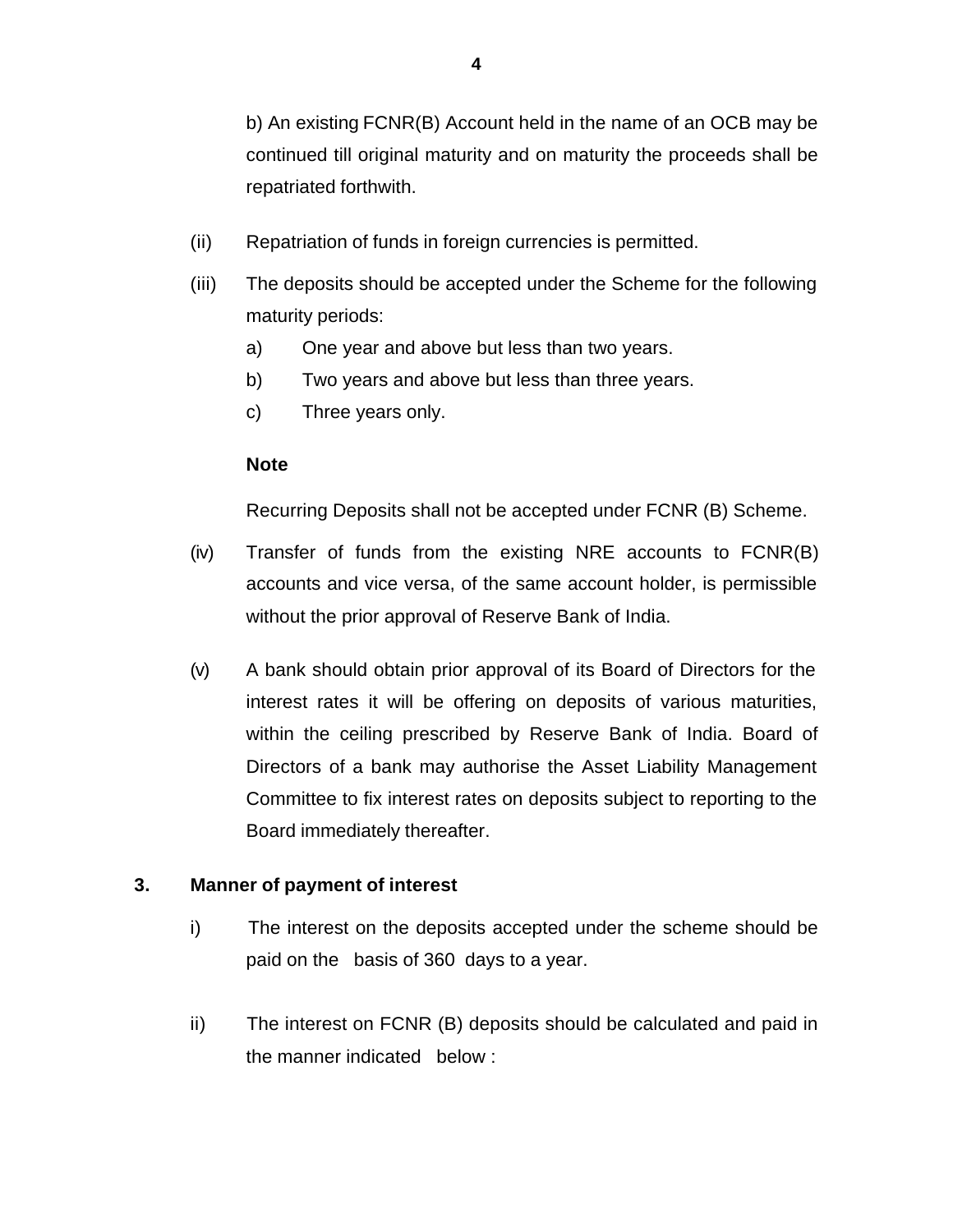b) An existing FCNR(B) Account held in the name of an OCB may be continued till original maturity and on maturity the proceeds shall be repatriated forthwith.

- (ii) Repatriation of funds in foreign currencies is permitted.
- (iii) The deposits should be accepted under the Scheme for the following maturity periods:
	- a) One year and above but less than two years.
	- b) Two years and above but less than three years.
	- c) Three years only.

# **Note**

Recurring Deposits shall not be accepted under FCNR (B) Scheme.

- (iv) Transfer of funds from the existing NRE accounts to FCNR(B) accounts and vice versa, of the same account holder, is permissible without the prior approval of Reserve Bank of India.
- (v) A bank should obtain prior approval of its Board of Directors for the interest rates it will be offering on deposits of various maturities, within the ceiling prescribed by Reserve Bank of India. Board of Directors of a bank may authorise the Asset Liability Management Committee to fix interest rates on deposits subject to reporting to the Board immediately thereafter.

# **3. Manner of payment of interest**

- i) The interest on the deposits accepted under the scheme should be paid on the basis of 360 days to a year.
- ii) The interest on FCNR (B) deposits should be calculated and paid in the manner indicated below :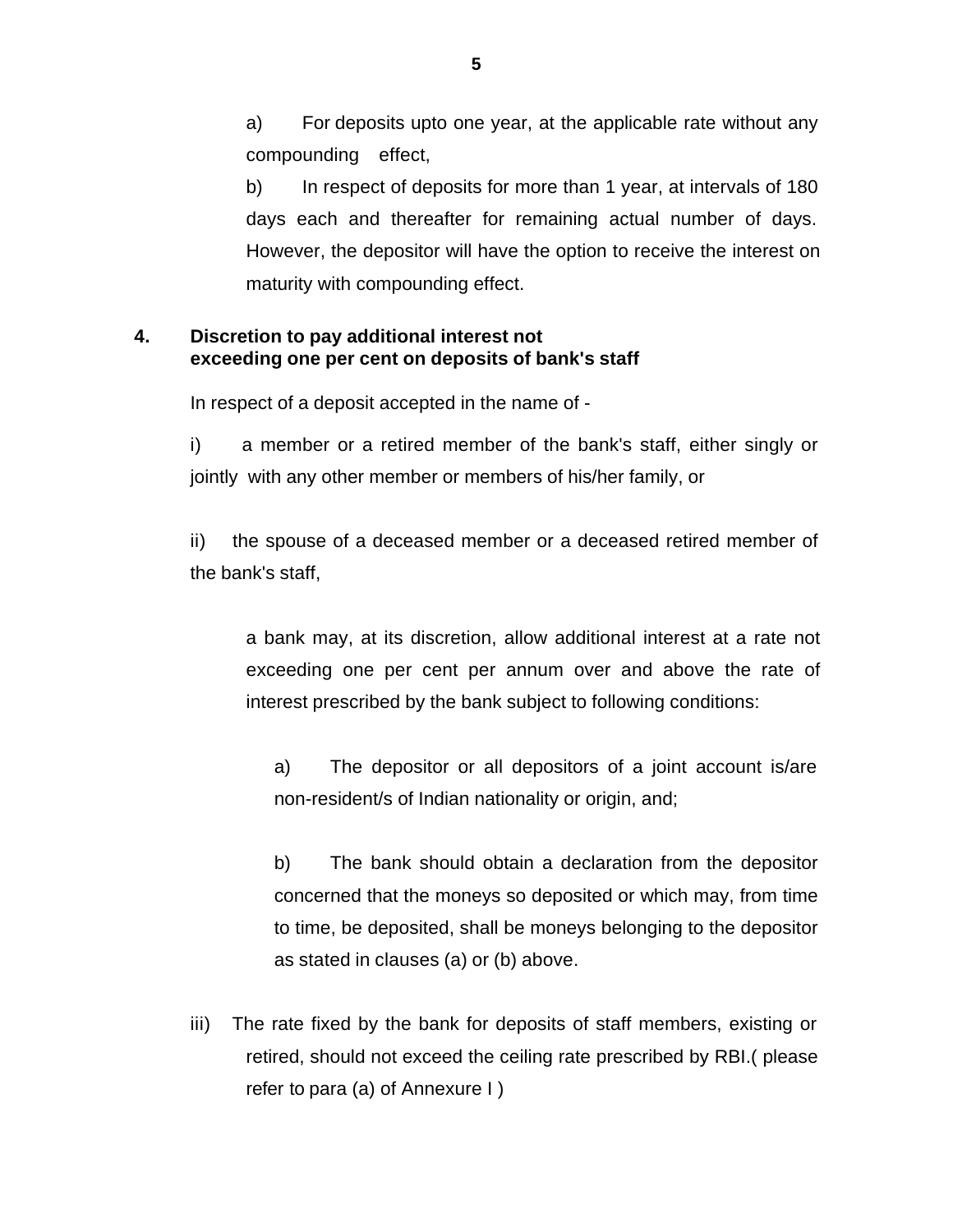a) For deposits upto one year, at the applicable rate without any compounding effect,

b) In respect of deposits for more than 1 year, at intervals of 180 days each and thereafter for remaining actual number of days. However, the depositor will have the option to receive the interest on maturity with compounding effect.

# **4. Discretion to pay additional interest not exceeding one per cent on deposits of bank's staff**

In respect of a deposit accepted in the name of -

i) a member or a retired member of the bank's staff, either singly or jointly with any other member or members of his/her family, or

ii) the spouse of a deceased member or a deceased retired member of the bank's staff,

a bank may, at its discretion, allow additional interest at a rate not exceeding one per cent per annum over and above the rate of interest prescribed by the bank subject to following conditions:

a) The depositor or all depositors of a joint account is/are non-resident/s of Indian nationality or origin, and;

b) The bank should obtain a declaration from the depositor concerned that the moneys so deposited or which may, from time to time, be deposited, shall be moneys belonging to the depositor as stated in clauses (a) or (b) above.

iii) The rate fixed by the bank for deposits of staff members, existing or retired, should not exceed the ceiling rate prescribed by RBI.( please refer to para (a) of Annexure I )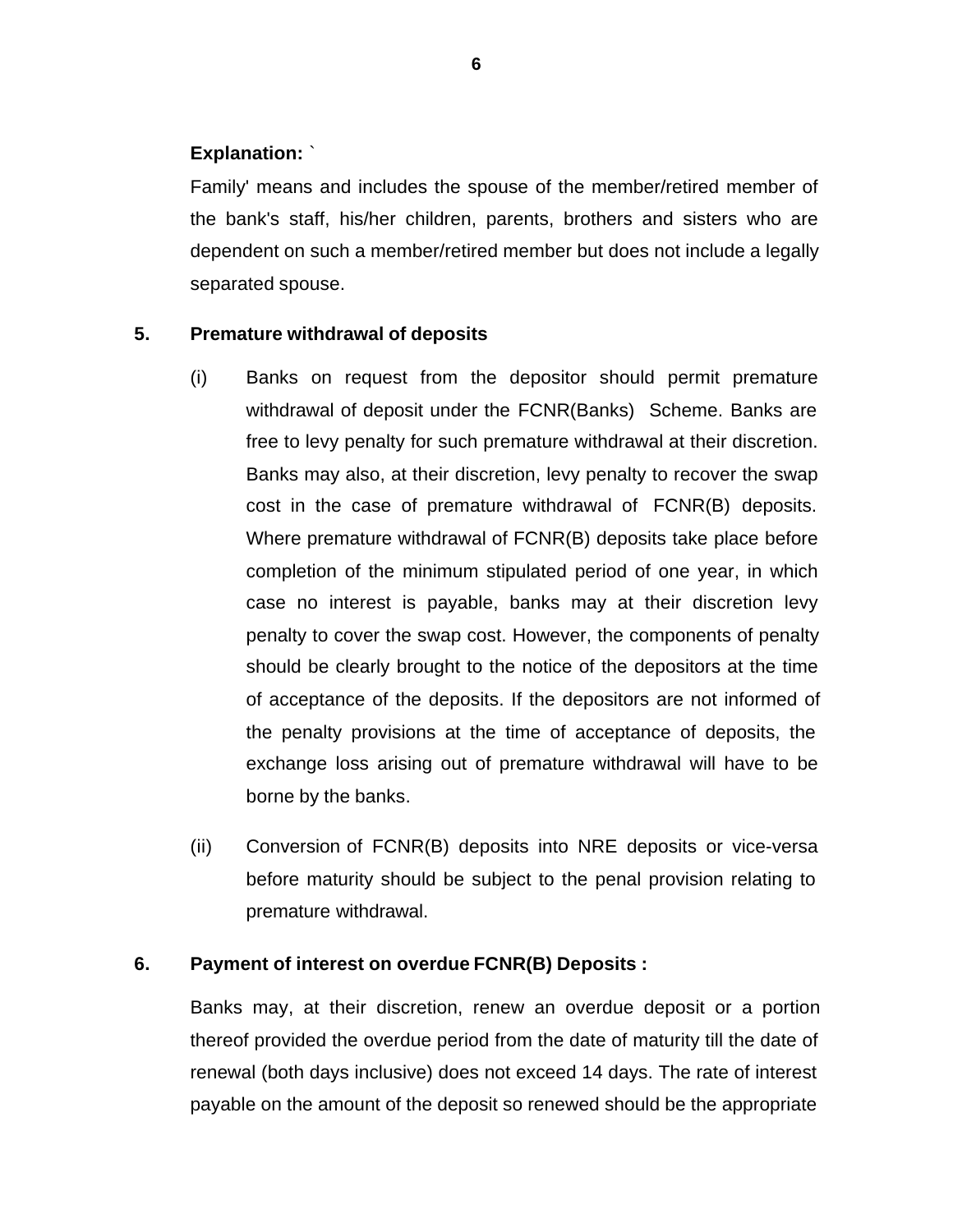# **Explanation:** `

Family' means and includes the spouse of the member/retired member of the bank's staff, his/her children, parents, brothers and sisters who are dependent on such a member/retired member but does not include a legally separated spouse.

# **5. Premature withdrawal of deposits**

- (i) Banks on request from the depositor should permit premature withdrawal of deposit under the FCNR(Banks) Scheme. Banks are free to levy penalty for such premature withdrawal at their discretion. Banks may also, at their discretion, levy penalty to recover the swap cost in the case of premature withdrawal of FCNR(B) deposits. Where premature withdrawal of FCNR(B) deposits take place before completion of the minimum stipulated period of one year, in which case no interest is payable, banks may at their discretion levy penalty to cover the swap cost. However, the components of penalty should be clearly brought to the notice of the depositors at the time of acceptance of the deposits. If the depositors are not informed of the penalty provisions at the time of acceptance of deposits, the exchange loss arising out of premature withdrawal will have to be borne by the banks.
- (ii) Conversion of FCNR(B) deposits into NRE deposits or vice-versa before maturity should be subject to the penal provision relating to premature withdrawal.

### **6. Payment of interest on overdue FCNR(B) Deposits :**

Banks may, at their discretion, renew an overdue deposit or a portion thereof provided the overdue period from the date of maturity till the date of renewal (both days inclusive) does not exceed 14 days. The rate of interest payable on the amount of the deposit so renewed should be the appropriate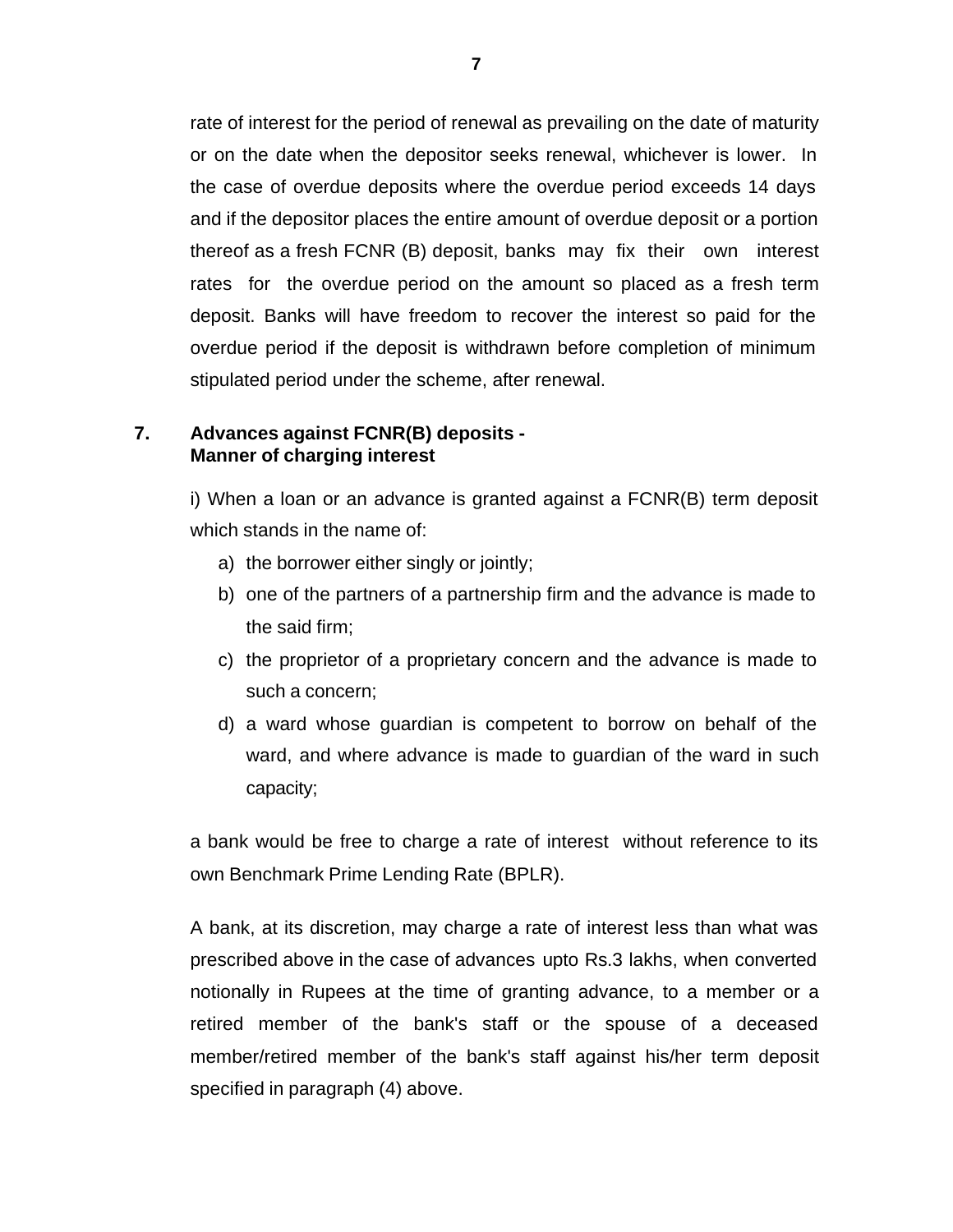rate of interest for the period of renewal as prevailing on the date of maturity or on the date when the depositor seeks renewal, whichever is lower. In the case of overdue deposits where the overdue period exceeds 14 days and if the depositor places the entire amount of overdue deposit or a portion thereof as a fresh FCNR (B) deposit, banks may fix their own interest rates for the overdue period on the amount so placed as a fresh term deposit. Banks will have freedom to recover the interest so paid for the overdue period if the deposit is withdrawn before completion of minimum stipulated period under the scheme, after renewal.

#### **7. Advances against FCNR(B) deposits - Manner of charging interest**

i) When a loan or an advance is granted against a FCNR(B) term deposit which stands in the name of:

- a) the borrower either singly or jointly;
- b) one of the partners of a partnership firm and the advance is made to the said firm;
- c) the proprietor of a proprietary concern and the advance is made to such a concern;
- d) a ward whose guardian is competent to borrow on behalf of the ward, and where advance is made to guardian of the ward in such capacity;

a bank would be free to charge a rate of interest without reference to its own Benchmark Prime Lending Rate (BPLR).

A bank, at its discretion, may charge a rate of interest less than what was prescribed above in the case of advances upto Rs.3 lakhs, when converted notionally in Rupees at the time of granting advance, to a member or a retired member of the bank's staff or the spouse of a deceased member/retired member of the bank's staff against his/her term deposit specified in paragraph (4) above.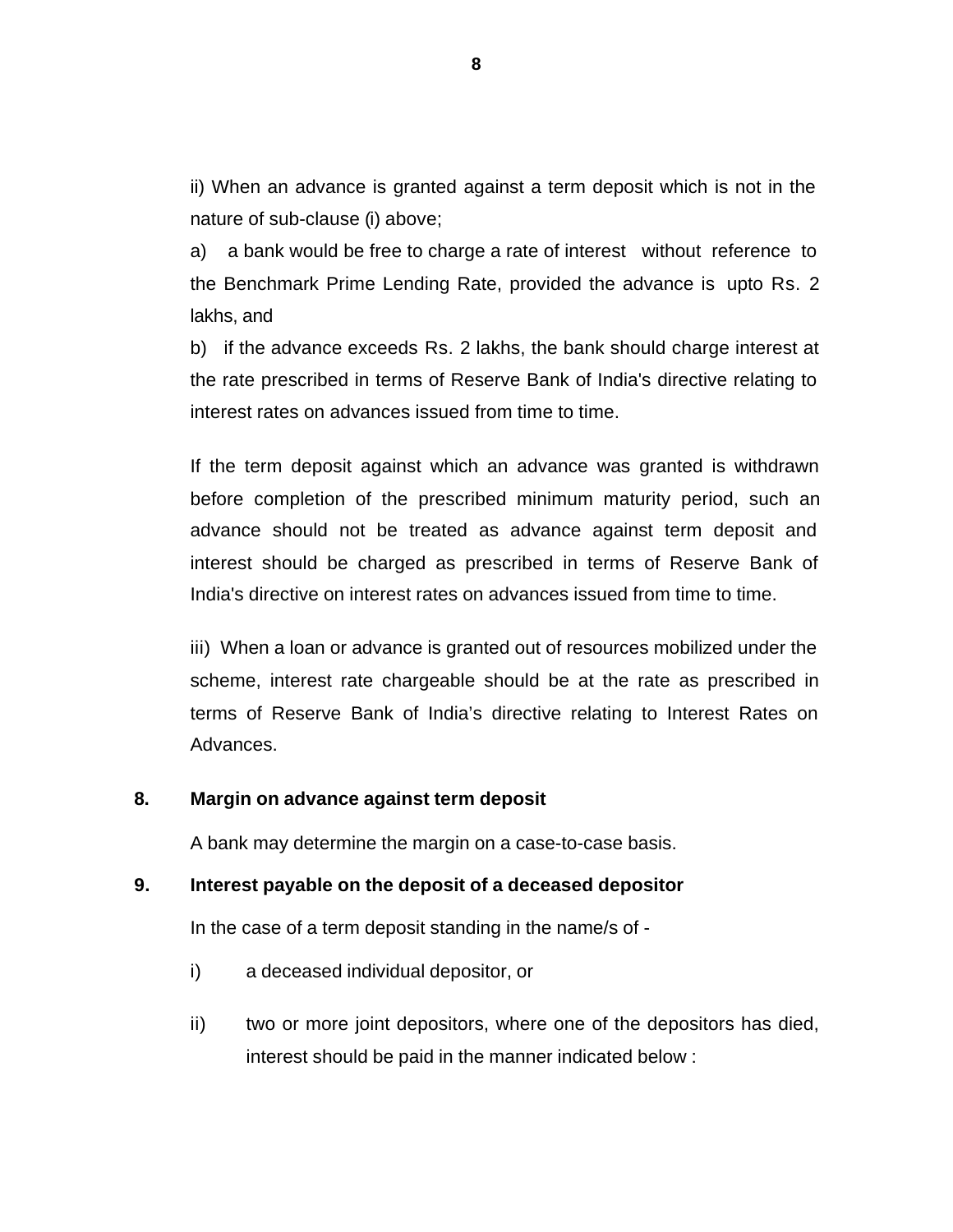ii) When an advance is granted against a term deposit which is not in the nature of sub-clause (i) above;

a) a bank would be free to charge a rate of interest without reference to the Benchmark Prime Lending Rate, provided the advance is upto Rs. 2 lakhs, and

b) if the advance exceeds Rs. 2 lakhs, the bank should charge interest at the rate prescribed in terms of Reserve Bank of India's directive relating to interest rates on advances issued from time to time.

If the term deposit against which an advance was granted is withdrawn before completion of the prescribed minimum maturity period, such an advance should not be treated as advance against term deposit and interest should be charged as prescribed in terms of Reserve Bank of India's directive on interest rates on advances issued from time to time.

iii) When a loan or advance is granted out of resources mobilized under the scheme, interest rate chargeable should be at the rate as prescribed in terms of Reserve Bank of India's directive relating to Interest Rates on Advances.

#### **8. Margin on advance against term deposit**

A bank may determine the margin on a case-to-case basis.

#### **9. Interest payable on the deposit of a deceased depositor**

In the case of a term deposit standing in the name/s of -

- i) a deceased individual depositor, or
- ii) two or more joint depositors, where one of the depositors has died, interest should be paid in the manner indicated below :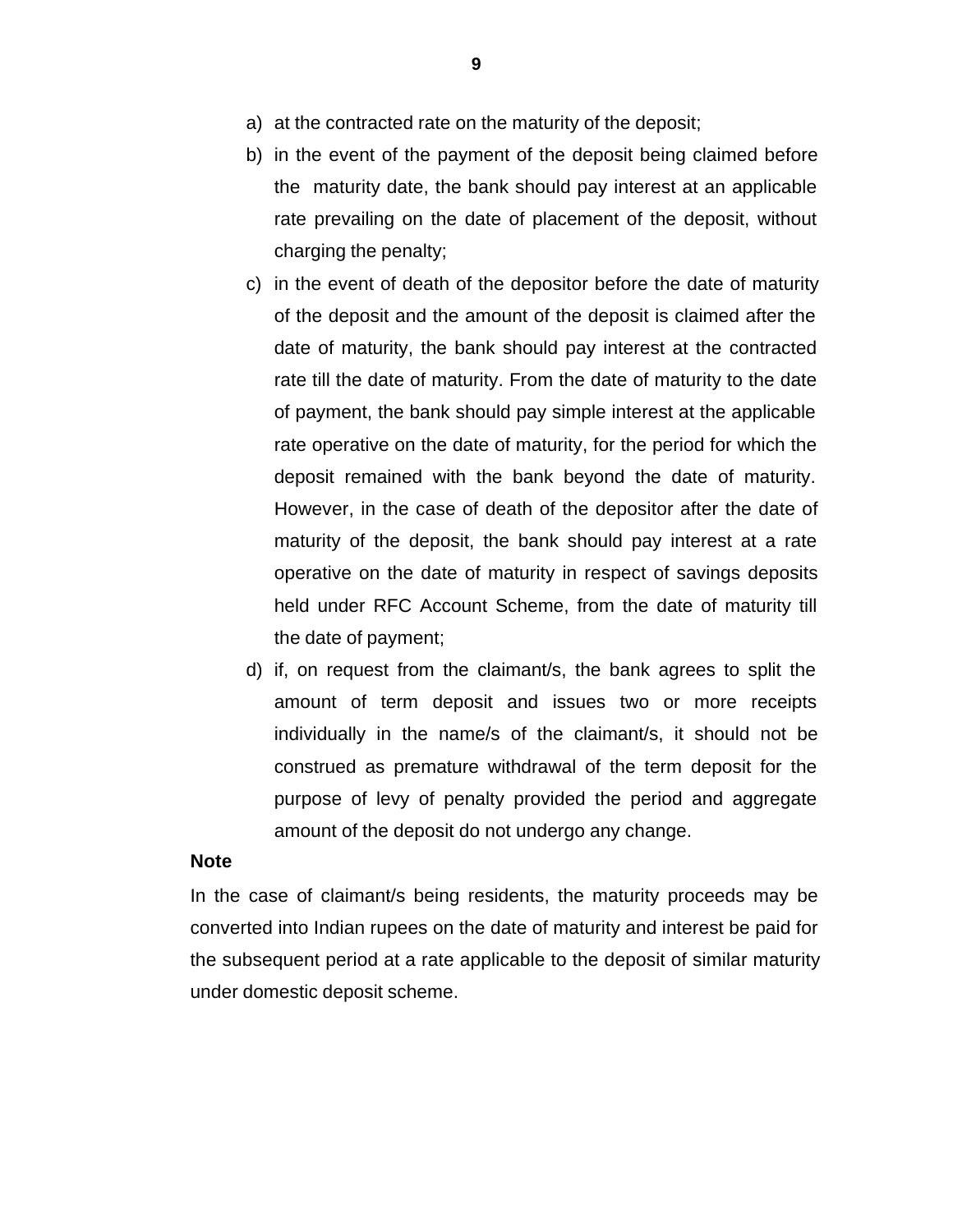- a) at the contracted rate on the maturity of the deposit;
- b) in the event of the payment of the deposit being claimed before the maturity date, the bank should pay interest at an applicable rate prevailing on the date of placement of the deposit, without charging the penalty;
- c) in the event of death of the depositor before the date of maturity of the deposit and the amount of the deposit is claimed after the date of maturity, the bank should pay interest at the contracted rate till the date of maturity. From the date of maturity to the date of payment, the bank should pay simple interest at the applicable rate operative on the date of maturity, for the period for which the deposit remained with the bank beyond the date of maturity. However, in the case of death of the depositor after the date of maturity of the deposit, the bank should pay interest at a rate operative on the date of maturity in respect of savings deposits held under RFC Account Scheme, from the date of maturity till the date of payment;
- d) if, on request from the claimant/s, the bank agrees to split the amount of term deposit and issues two or more receipts individually in the name/s of the claimant/s, it should not be construed as premature withdrawal of the term deposit for the purpose of levy of penalty provided the period and aggregate amount of the deposit do not undergo any change.

#### **Note**

In the case of claimant/s being residents, the maturity proceeds may be converted into Indian rupees on the date of maturity and interest be paid for the subsequent period at a rate applicable to the deposit of similar maturity under domestic deposit scheme.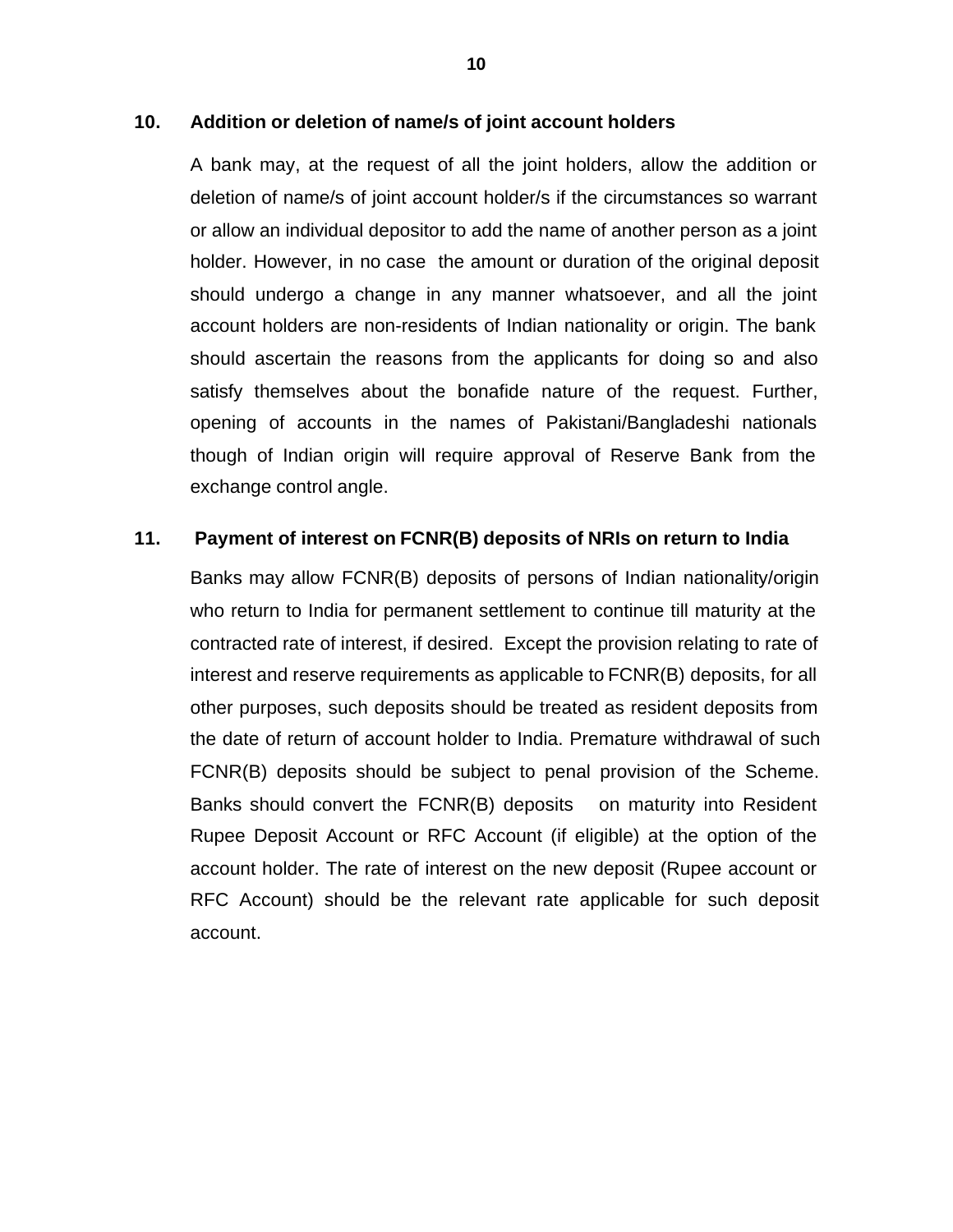#### **10. Addition or deletion of name/s of joint account holders**

A bank may, at the request of all the joint holders, allow the addition or deletion of name/s of joint account holder/s if the circumstances so warrant or allow an individual depositor to add the name of another person as a joint holder. However, in no case the amount or duration of the original deposit should undergo a change in any manner whatsoever, and all the joint account holders are non-residents of Indian nationality or origin. The bank should ascertain the reasons from the applicants for doing so and also satisfy themselves about the bonafide nature of the request. Further, opening of accounts in the names of Pakistani/Bangladeshi nationals though of Indian origin will require approval of Reserve Bank from the exchange control angle.

#### **11. Payment of interest on FCNR(B) deposits of NRIs on return to India**

Banks may allow FCNR(B) deposits of persons of Indian nationality/origin who return to India for permanent settlement to continue till maturity at the contracted rate of interest, if desired. Except the provision relating to rate of interest and reserve requirements as applicable to FCNR(B) deposits, for all other purposes, such deposits should be treated as resident deposits from the date of return of account holder to India. Premature withdrawal of such FCNR(B) deposits should be subject to penal provision of the Scheme. Banks should convert the FCNR(B) deposits on maturity into Resident Rupee Deposit Account or RFC Account (if eligible) at the option of the account holder. The rate of interest on the new deposit (Rupee account or RFC Account) should be the relevant rate applicable for such deposit account.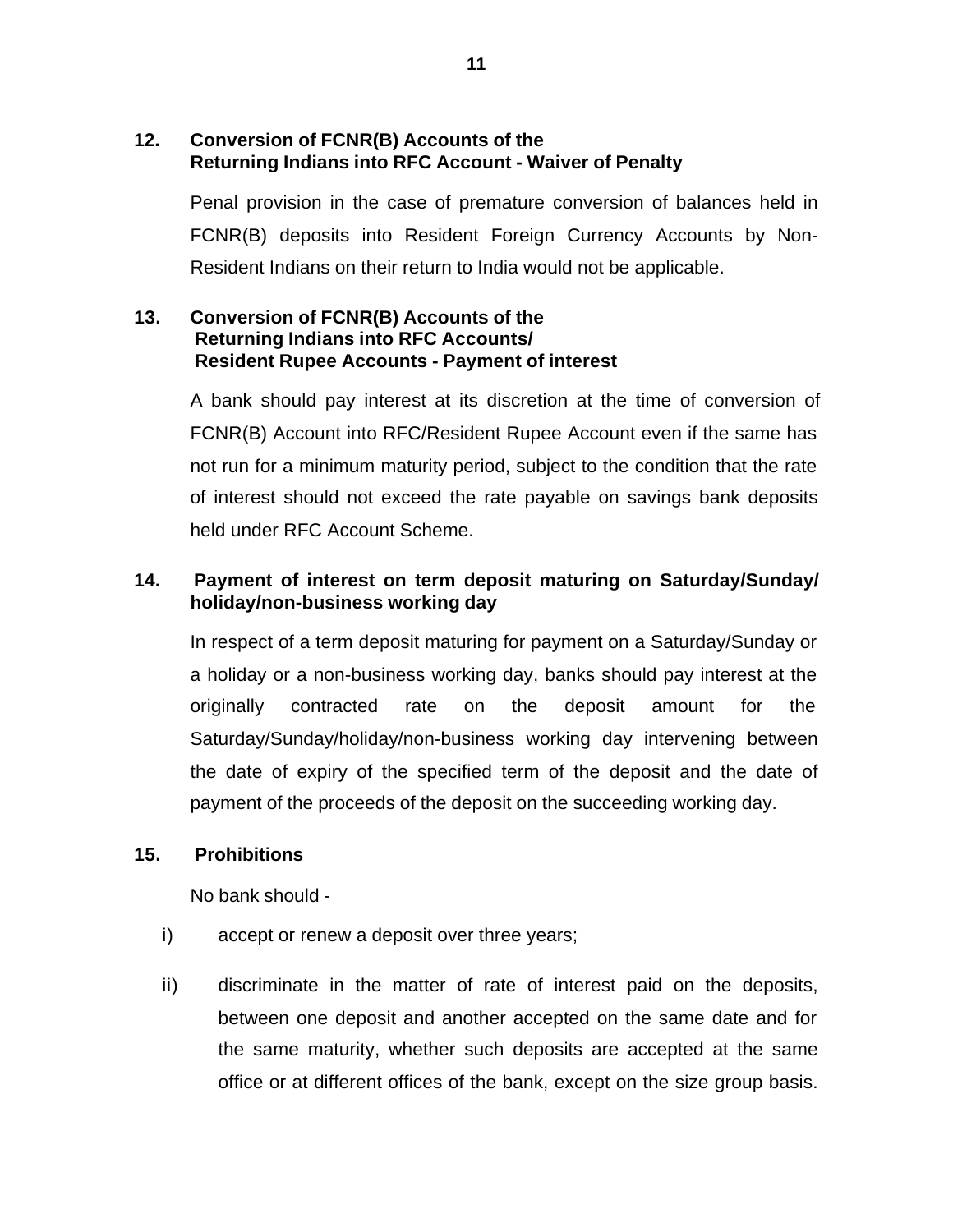## **12. Conversion of FCNR(B) Accounts of the Returning Indians into RFC Account - Waiver of Penalty**

Penal provision in the case of premature conversion of balances held in FCNR(B) deposits into Resident Foreign Currency Accounts by Non-Resident Indians on their return to India would not be applicable.

### **13. Conversion of FCNR(B) Accounts of the Returning Indians into RFC Accounts/ Resident Rupee Accounts - Payment of interest**

A bank should pay interest at its discretion at the time of conversion of FCNR(B) Account into RFC/Resident Rupee Account even if the same has not run for a minimum maturity period, subject to the condition that the rate of interest should not exceed the rate payable on savings bank deposits held under RFC Account Scheme.

# **14. Payment of interest on term deposit maturing on Saturday/Sunday/ holiday/non-business working day**

In respect of a term deposit maturing for payment on a Saturday/Sunday or a holiday or a non-business working day, banks should pay interest at the originally contracted rate on the deposit amount for the Saturday/Sunday/holiday/non-business working day intervening between the date of expiry of the specified term of the deposit and the date of payment of the proceeds of the deposit on the succeeding working day.

### **15. Prohibitions**

No bank should -

- i) accept or renew a deposit over three years;
- ii) discriminate in the matter of rate of interest paid on the deposits, between one deposit and another accepted on the same date and for the same maturity, whether such deposits are accepted at the same office or at different offices of the bank, except on the size group basis.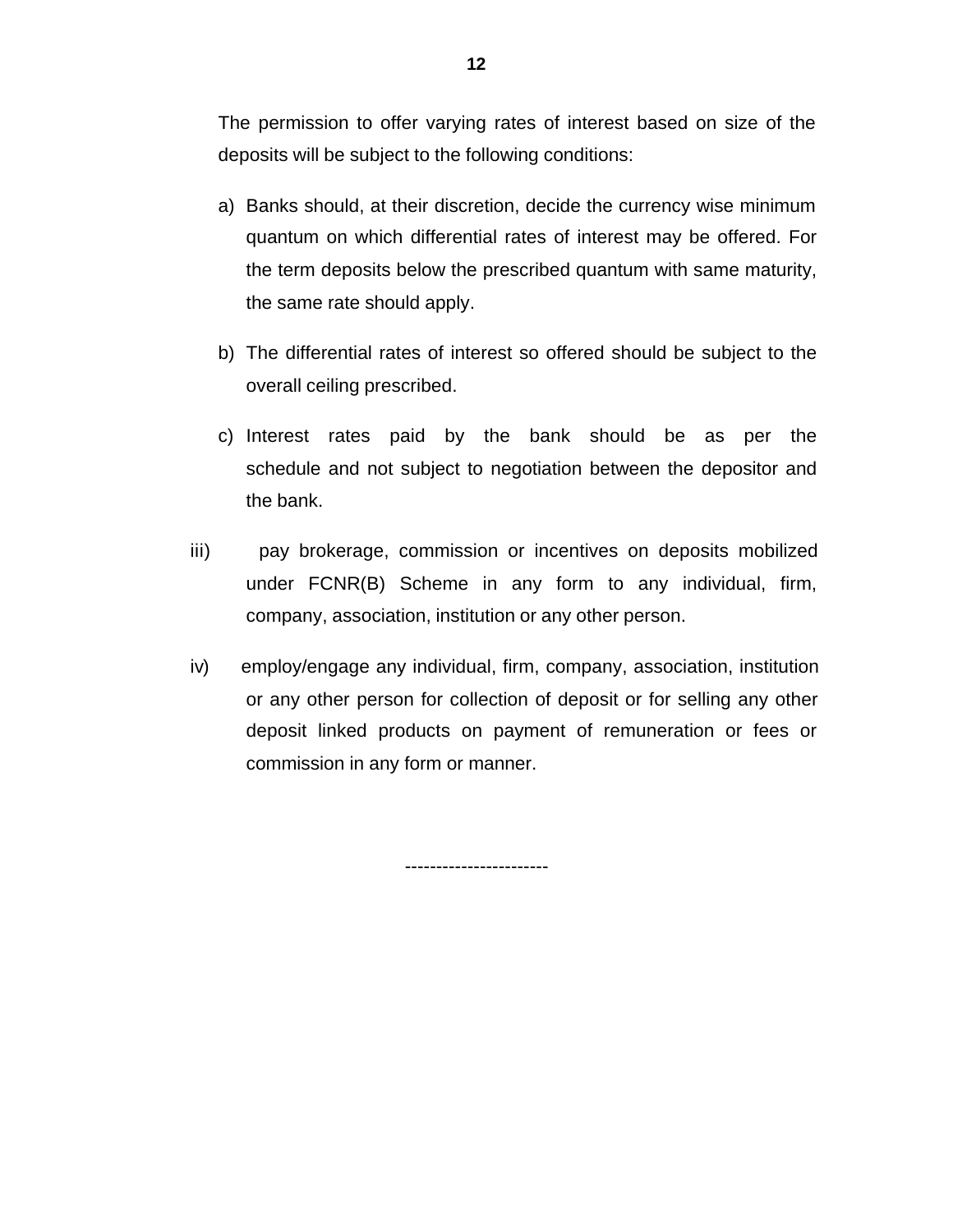The permission to offer varying rates of interest based on size of the deposits will be subject to the following conditions:

- a) Banks should, at their discretion, decide the currency wise minimum quantum on which differential rates of interest may be offered. For the term deposits below the prescribed quantum with same maturity, the same rate should apply.
- b) The differential rates of interest so offered should be subject to the overall ceiling prescribed.
- c) Interest rates paid by the bank should be as per the schedule and not subject to negotiation between the depositor and the bank.
- iii) pay brokerage, commission or incentives on deposits mobilized under FCNR(B) Scheme in any form to any individual, firm, company, association, institution or any other person.
- iv) employ/engage any individual, firm, company, association, institution or any other person for collection of deposit or for selling any other deposit linked products on payment of remuneration or fees or commission in any form or manner.

-----------------------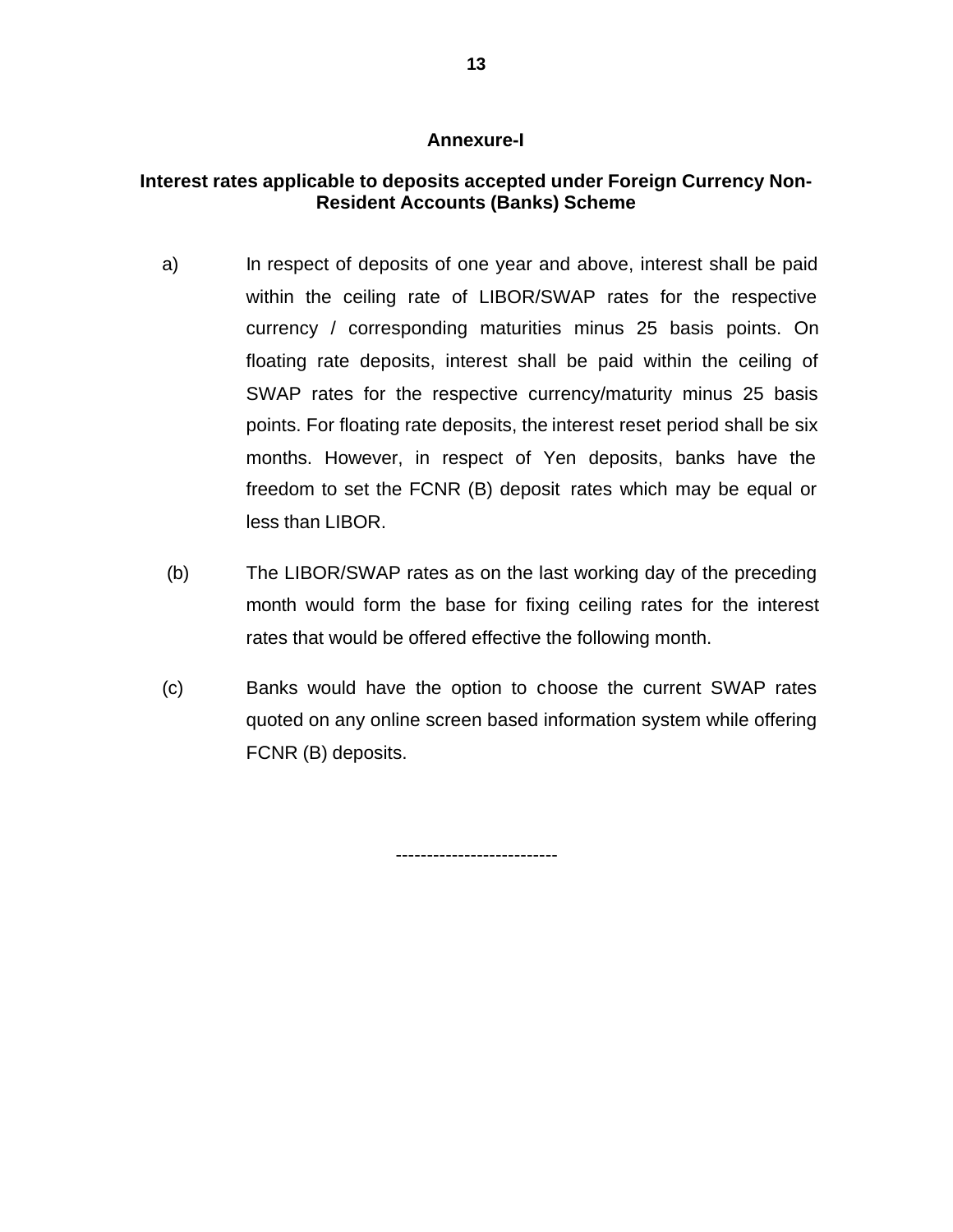#### **Annexure-I**

# **Interest rates applicable to deposits accepted under Foreign Currency Non-Resident Accounts (Banks) Scheme**

- a) In respect of deposits of one year and above, interest shall be paid within the ceiling rate of LIBOR/SWAP rates for the respective currency / corresponding maturities minus 25 basis points. On floating rate deposits, interest shall be paid within the ceiling of SWAP rates for the respective currency/maturity minus 25 basis points. For floating rate deposits, the interest reset period shall be six months. However, in respect of Yen deposits, banks have the freedom to set the FCNR (B) deposit rates which may be equal or less than LIBOR.
- (b) The LIBOR/SWAP rates as on the last working day of the preceding month would form the base for fixing ceiling rates for the interest rates that would be offered effective the following month.
- (c) Banks would have the option to choose the current SWAP rates quoted on any online screen based information system while offering FCNR (B) deposits.

--------------------------